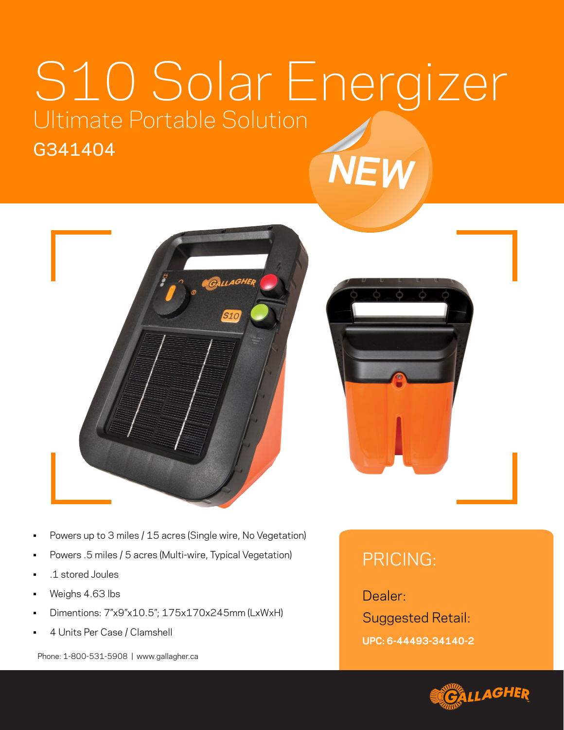## S10 Solar Energizer Ultimate Portable Solution G341404 *NEW*





- Powers up to 3 miles / 15 acres (Single wire, No Vegetation)
- Powers .5 miles / 5 acres (Multi-wire, Typical Vegetation)
- .1 stored Joules
- Weighs 4.63 lbs
- Dimentions: 7"x9"x10.5"; 175x170x245mm (LxWxH)
- 4 Units Per Case / Clamshell

Phone: 1-800-531-5908 | www.gallagher.ca

## PRICING:

Dealer:

Suggested Retail:

**UPC: 6-44493-34140-2**